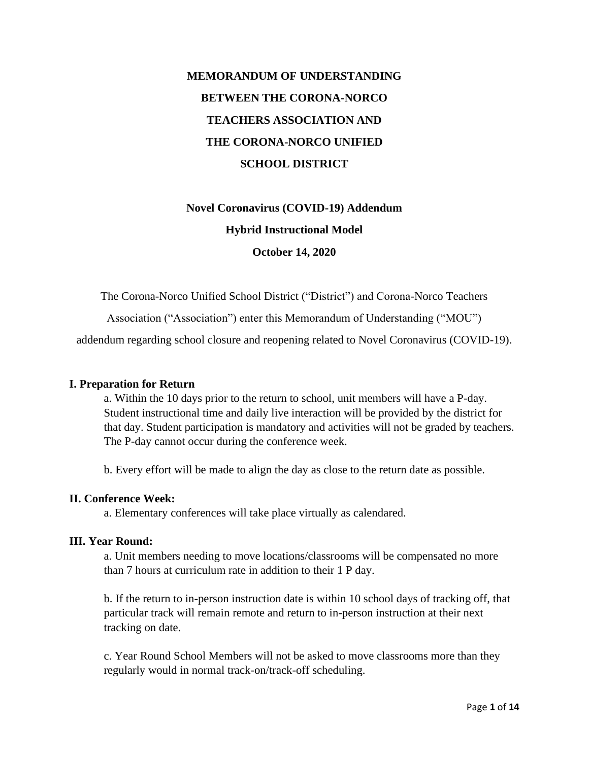# **MEMORANDUM OF UNDERSTANDING BETWEEN THE CORONA-NORCO TEACHERS ASSOCIATION AND THE CORONA-NORCO UNIFIED SCHOOL DISTRICT**

# **Novel Coronavirus (COVID-19) Addendum Hybrid Instructional Model October 14, 2020**

The Corona-Norco Unified School District ("District") and Corona-Norco Teachers

Association ("Association") enter this Memorandum of Understanding ("MOU")

addendum regarding school closure and reopening related to Novel Coronavirus (COVID-19).

#### **I. Preparation for Return**

a. Within the 10 days prior to the return to school, unit members will have a P-day. Student instructional time and daily live interaction will be provided by the district for that day. Student participation is mandatory and activities will not be graded by teachers. The P-day cannot occur during the conference week.

b. Every effort will be made to align the day as close to the return date as possible.

#### **II. Conference Week:**

a. Elementary conferences will take place virtually as calendared.

#### **III. Year Round:**

a. Unit members needing to move locations/classrooms will be compensated no more than 7 hours at curriculum rate in addition to their 1 P day.

b. If the return to in-person instruction date is within 10 school days of tracking off, that particular track will remain remote and return to in-person instruction at their next tracking on date.

c. Year Round School Members will not be asked to move classrooms more than they regularly would in normal track-on/track-off scheduling.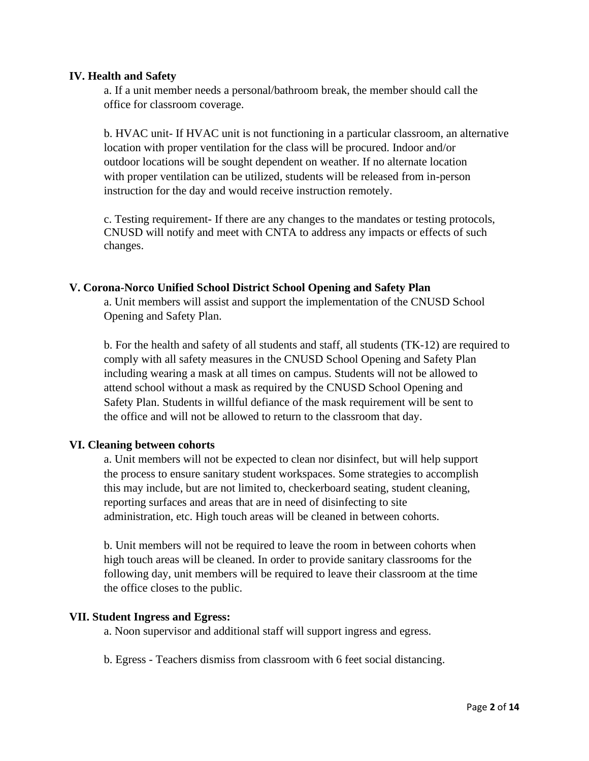#### **IV. Health and Safety**

a. If a unit member needs a personal/bathroom break, the member should call the office for classroom coverage.

b. HVAC unit- If HVAC unit is not functioning in a particular classroom, an alternative location with proper ventilation for the class will be procured. Indoor and/or outdoor locations will be sought dependent on weather. If no alternate location with proper ventilation can be utilized, students will be released from in-person instruction for the day and would receive instruction remotely.

c. Testing requirement- If there are any changes to the mandates or testing protocols, CNUSD will notify and meet with CNTA to address any impacts or effects of such changes.

#### **V. Corona-Norco Unified School District School Opening and Safety Plan**

a. Unit members will assist and support the implementation of the CNUSD School Opening and Safety Plan.

b. For the health and safety of all students and staff, all students (TK-12) are required to comply with all safety measures in the CNUSD School Opening and Safety Plan including wearing a mask at all times on campus. Students will not be allowed to attend school without a mask as required by the CNUSD School Opening and Safety Plan. Students in willful defiance of the mask requirement will be sent to the office and will not be allowed to return to the classroom that day.

#### **VI. Cleaning between cohorts**

a. Unit members will not be expected to clean nor disinfect, but will help support the process to ensure sanitary student workspaces. Some strategies to accomplish this may include, but are not limited to, checkerboard seating, student cleaning, reporting surfaces and areas that are in need of disinfecting to site administration, etc. High touch areas will be cleaned in between cohorts.

b. Unit members will not be required to leave the room in between cohorts when high touch areas will be cleaned. In order to provide sanitary classrooms for the following day, unit members will be required to leave their classroom at the time the office closes to the public.

#### **VII. Student Ingress and Egress:**

a. Noon supervisor and additional staff will support ingress and egress.

b. Egress - Teachers dismiss from classroom with 6 feet social distancing.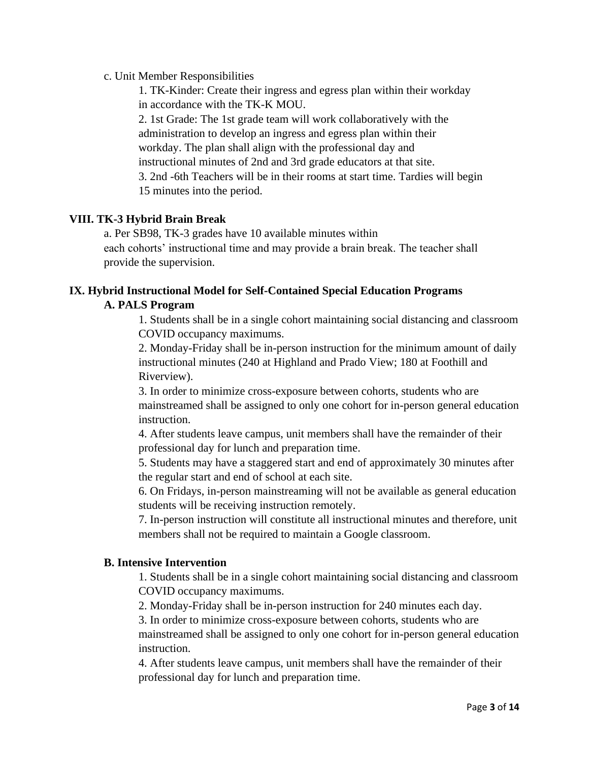### c. Unit Member Responsibilities

1. TK-Kinder: Create their ingress and egress plan within their workday in accordance with the TK-K MOU.

2. 1st Grade: The 1st grade team will work collaboratively with the administration to develop an ingress and egress plan within their workday. The plan shall align with the professional day and instructional minutes of 2nd and 3rd grade educators at that site. 3. 2nd -6th Teachers will be in their rooms at start time. Tardies will begin 15 minutes into the period.

# **VIII. TK-3 Hybrid Brain Break**

a. Per SB98, TK-3 grades have 10 available minutes within each cohorts' instructional time and may provide a brain break. The teacher shall provide the supervision.

# **IX. Hybrid Instructional Model for Self-Contained Special Education Programs A. PALS Program**

1. Students shall be in a single cohort maintaining social distancing and classroom COVID occupancy maximums.

2. Monday-Friday shall be in-person instruction for the minimum amount of daily instructional minutes (240 at Highland and Prado View; 180 at Foothill and Riverview).

3. In order to minimize cross-exposure between cohorts, students who are mainstreamed shall be assigned to only one cohort for in-person general education instruction.

4. After students leave campus, unit members shall have the remainder of their professional day for lunch and preparation time.

5. Students may have a staggered start and end of approximately 30 minutes after the regular start and end of school at each site.

6. On Fridays, in-person mainstreaming will not be available as general education students will be receiving instruction remotely.

7. In-person instruction will constitute all instructional minutes and therefore, unit members shall not be required to maintain a Google classroom.

#### **B. Intensive Intervention**

1. Students shall be in a single cohort maintaining social distancing and classroom COVID occupancy maximums.

2. Monday-Friday shall be in-person instruction for 240 minutes each day.

3. In order to minimize cross-exposure between cohorts, students who are mainstreamed shall be assigned to only one cohort for in-person general education instruction.

4. After students leave campus, unit members shall have the remainder of their professional day for lunch and preparation time.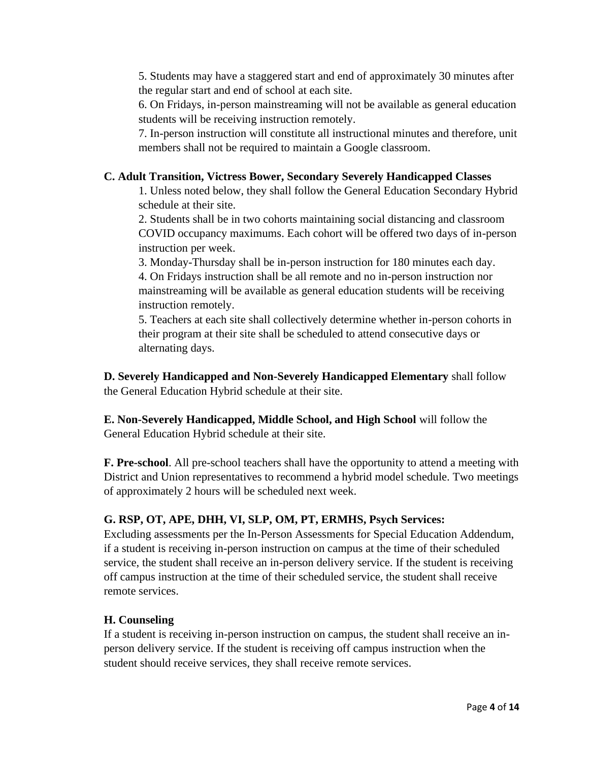5. Students may have a staggered start and end of approximately 30 minutes after the regular start and end of school at each site.

6. On Fridays, in-person mainstreaming will not be available as general education students will be receiving instruction remotely.

7. In-person instruction will constitute all instructional minutes and therefore, unit members shall not be required to maintain a Google classroom.

# **C. Adult Transition, Victress Bower, Secondary Severely Handicapped Classes**

1. Unless noted below, they shall follow the General Education Secondary Hybrid schedule at their site.

2. Students shall be in two cohorts maintaining social distancing and classroom COVID occupancy maximums. Each cohort will be offered two days of in-person instruction per week.

3. Monday-Thursday shall be in-person instruction for 180 minutes each day.

4. On Fridays instruction shall be all remote and no in-person instruction nor mainstreaming will be available as general education students will be receiving instruction remotely.

5. Teachers at each site shall collectively determine whether in-person cohorts in their program at their site shall be scheduled to attend consecutive days or alternating days.

**D. Severely Handicapped and Non-Severely Handicapped Elementary** shall follow the General Education Hybrid schedule at their site.

**E. Non-Severely Handicapped, Middle School, and High School** will follow the General Education Hybrid schedule at their site.

**F. Pre-school**. All pre-school teachers shall have the opportunity to attend a meeting with District and Union representatives to recommend a hybrid model schedule. Two meetings of approximately 2 hours will be scheduled next week.

# **G. RSP, OT, APE, DHH, VI, SLP, OM, PT, ERMHS, Psych Services:**

Excluding assessments per the In-Person Assessments for Special Education Addendum, if a student is receiving in-person instruction on campus at the time of their scheduled service, the student shall receive an in-person delivery service. If the student is receiving off campus instruction at the time of their scheduled service, the student shall receive remote services.

# **H. Counseling**

If a student is receiving in-person instruction on campus, the student shall receive an inperson delivery service. If the student is receiving off campus instruction when the student should receive services, they shall receive remote services.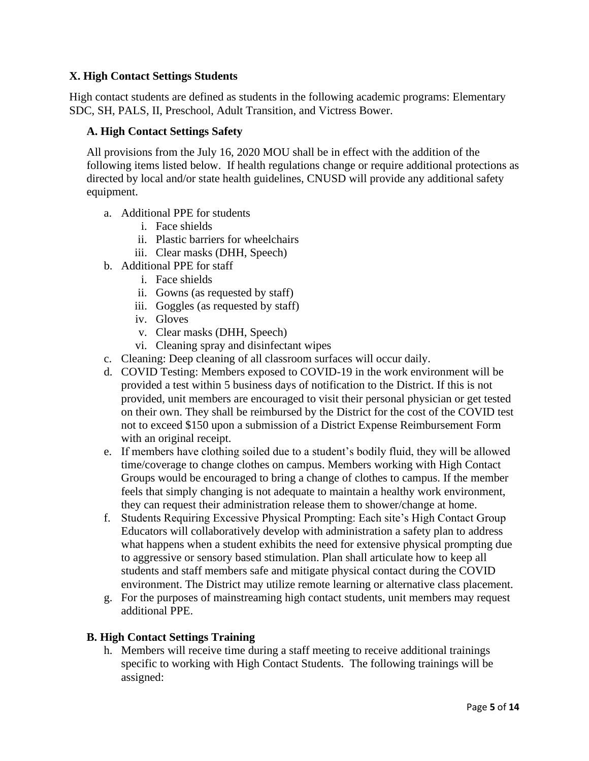# **X. High Contact Settings Students**

High contact students are defined as students in the following academic programs: Elementary SDC, SH, PALS, II, Preschool, Adult Transition, and Victress Bower.

## **A. High Contact Settings Safety**

All provisions from the July 16, 2020 MOU shall be in effect with the addition of the following items listed below. If health regulations change or require additional protections as directed by local and/or state health guidelines, CNUSD will provide any additional safety equipment.

- a. Additional PPE for students
	- i. Face shields
	- ii. Plastic barriers for wheelchairs
	- iii. Clear masks (DHH, Speech)
- b. Additional PPE for staff
	- i. Face shields
	- ii. Gowns (as requested by staff)
	- iii. Goggles (as requested by staff)
	- iv. Gloves
	- v. Clear masks (DHH, Speech)
	- vi. Cleaning spray and disinfectant wipes
- c. Cleaning: Deep cleaning of all classroom surfaces will occur daily.
- d. COVID Testing: Members exposed to COVID-19 in the work environment will be provided a test within 5 business days of notification to the District. If this is not provided, unit members are encouraged to visit their personal physician or get tested on their own. They shall be reimbursed by the District for the cost of the COVID test not to exceed \$150 upon a submission of a District Expense Reimbursement Form with an original receipt.
- e. If members have clothing soiled due to a student's bodily fluid, they will be allowed time/coverage to change clothes on campus. Members working with High Contact Groups would be encouraged to bring a change of clothes to campus. If the member feels that simply changing is not adequate to maintain a healthy work environment, they can request their administration release them to shower/change at home.
- f. Students Requiring Excessive Physical Prompting: Each site's High Contact Group Educators will collaboratively develop with administration a safety plan to address what happens when a student exhibits the need for extensive physical prompting due to aggressive or sensory based stimulation. Plan shall articulate how to keep all students and staff members safe and mitigate physical contact during the COVID environment. The District may utilize remote learning or alternative class placement.
- g. For the purposes of mainstreaming high contact students, unit members may request additional PPE.

#### **B. High Contact Settings Training**

h. Members will receive time during a staff meeting to receive additional trainings specific to working with High Contact Students. The following trainings will be assigned: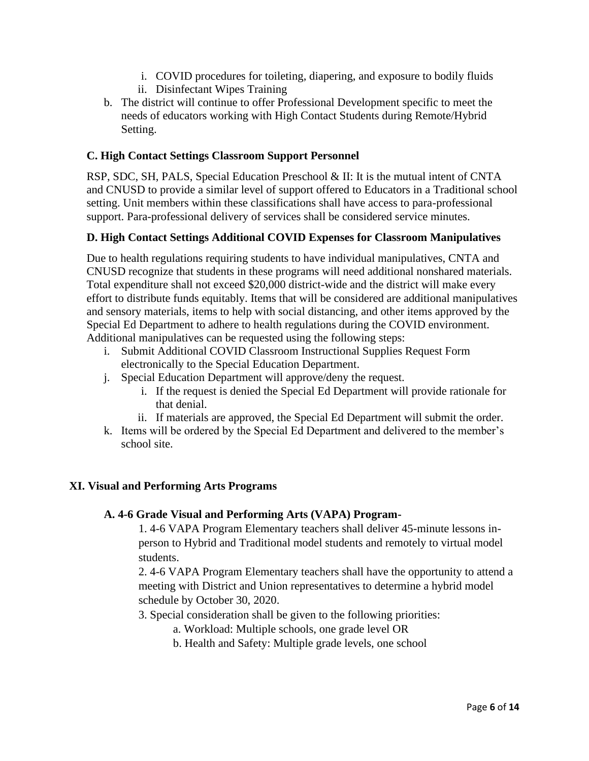- i. COVID procedures for toileting, diapering, and exposure to bodily fluids
- ii. Disinfectant Wipes Training
- b. The district will continue to offer Professional Development specific to meet the needs of educators working with High Contact Students during Remote/Hybrid Setting.

# **C. High Contact Settings Classroom Support Personnel**

RSP, SDC, SH, PALS, Special Education Preschool & II: It is the mutual intent of CNTA and CNUSD to provide a similar level of support offered to Educators in a Traditional school setting. Unit members within these classifications shall have access to para-professional support. Para-professional delivery of services shall be considered service minutes.

# **D. High Contact Settings Additional COVID Expenses for Classroom Manipulatives**

Due to health regulations requiring students to have individual manipulatives, CNTA and CNUSD recognize that students in these programs will need additional nonshared materials. Total expenditure shall not exceed \$20,000 district-wide and the district will make every effort to distribute funds equitably. Items that will be considered are additional manipulatives and sensory materials, items to help with social distancing, and other items approved by the Special Ed Department to adhere to health regulations during the COVID environment. Additional manipulatives can be requested using the following steps:

- i. Submit Additional COVID Classroom Instructional Supplies Request Form electronically to the Special Education Department.
- j. Special Education Department will approve/deny the request.
	- i. If the request is denied the Special Ed Department will provide rationale for that denial.
	- ii. If materials are approved, the Special Ed Department will submit the order.
- k. Items will be ordered by the Special Ed Department and delivered to the member's school site.

#### **XI. Visual and Performing Arts Programs**

#### **A. 4-6 Grade Visual and Performing Arts (VAPA) Program-**

1. 4-6 VAPA Program Elementary teachers shall deliver 45-minute lessons inperson to Hybrid and Traditional model students and remotely to virtual model students.

2. 4-6 VAPA Program Elementary teachers shall have the opportunity to attend a meeting with District and Union representatives to determine a hybrid model schedule by October 30, 2020.

- 3. Special consideration shall be given to the following priorities:
	- a. Workload: Multiple schools, one grade level OR
	- b. Health and Safety: Multiple grade levels, one school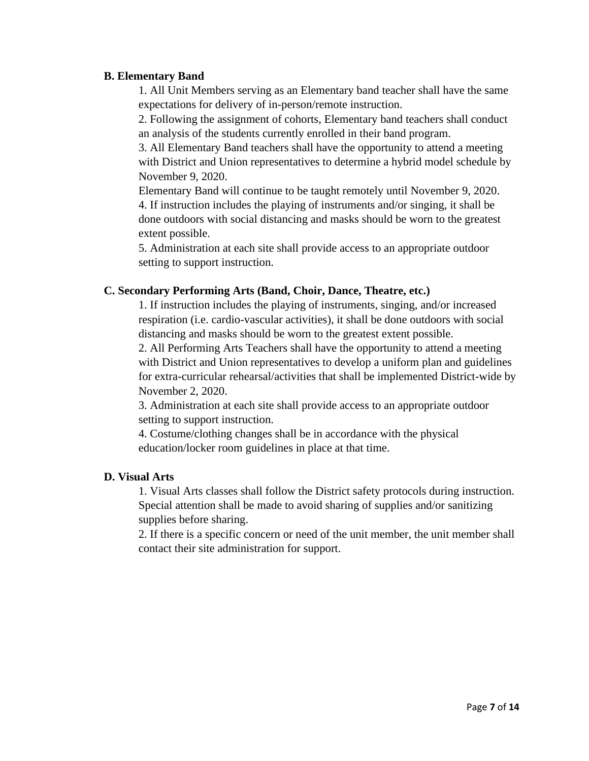### **B. Elementary Band**

1. All Unit Members serving as an Elementary band teacher shall have the same expectations for delivery of in-person/remote instruction.

2. Following the assignment of cohorts, Elementary band teachers shall conduct an analysis of the students currently enrolled in their band program.

3. All Elementary Band teachers shall have the opportunity to attend a meeting with District and Union representatives to determine a hybrid model schedule by November 9, 2020.

Elementary Band will continue to be taught remotely until November 9, 2020. 4. If instruction includes the playing of instruments and/or singing, it shall be done outdoors with social distancing and masks should be worn to the greatest extent possible.

5. Administration at each site shall provide access to an appropriate outdoor setting to support instruction.

# **C. Secondary Performing Arts (Band, Choir, Dance, Theatre, etc.)**

1. If instruction includes the playing of instruments, singing, and/or increased respiration (i.e. cardio-vascular activities), it shall be done outdoors with social distancing and masks should be worn to the greatest extent possible.

2. All Performing Arts Teachers shall have the opportunity to attend a meeting with District and Union representatives to develop a uniform plan and guidelines for extra-curricular rehearsal/activities that shall be implemented District-wide by November 2, 2020.

3. Administration at each site shall provide access to an appropriate outdoor setting to support instruction.

4. Costume/clothing changes shall be in accordance with the physical education/locker room guidelines in place at that time.

## **D. Visual Arts**

1. Visual Arts classes shall follow the District safety protocols during instruction. Special attention shall be made to avoid sharing of supplies and/or sanitizing supplies before sharing.

2. If there is a specific concern or need of the unit member, the unit member shall contact their site administration for support.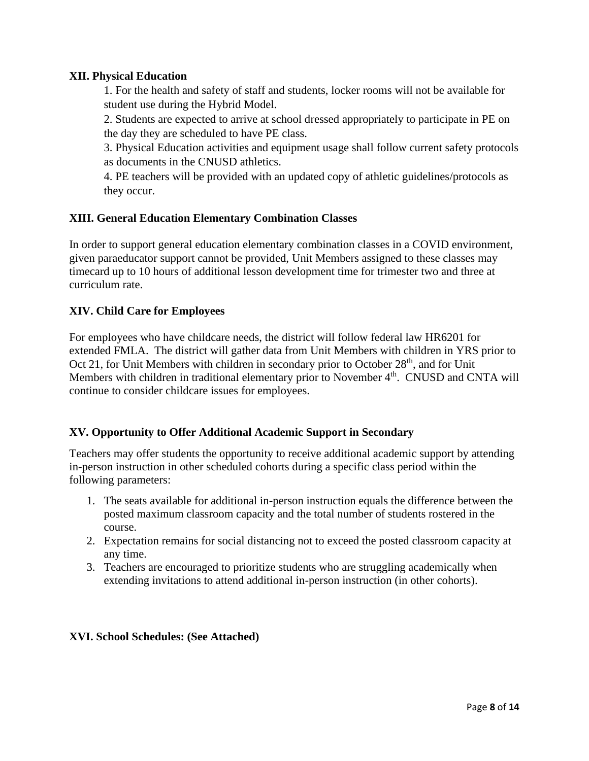# **XII. Physical Education**

1. For the health and safety of staff and students, locker rooms will not be available for student use during the Hybrid Model.

2. Students are expected to arrive at school dressed appropriately to participate in PE on the day they are scheduled to have PE class.

3. Physical Education activities and equipment usage shall follow current safety protocols as documents in the CNUSD athletics.

4. PE teachers will be provided with an updated copy of athletic guidelines/protocols as they occur.

# **XIII. General Education Elementary Combination Classes**

In order to support general education elementary combination classes in a COVID environment, given paraeducator support cannot be provided, Unit Members assigned to these classes may timecard up to 10 hours of additional lesson development time for trimester two and three at curriculum rate.

# **XIV. Child Care for Employees**

For employees who have childcare needs, the district will follow federal law HR6201 for extended FMLA. The district will gather data from Unit Members with children in YRS prior to Oct 21, for Unit Members with children in secondary prior to October 28<sup>th</sup>, and for Unit Members with children in traditional elementary prior to November 4<sup>th</sup>. CNUSD and CNTA will continue to consider childcare issues for employees.

# **XV. Opportunity to Offer Additional Academic Support in Secondary**

Teachers may offer students the opportunity to receive additional academic support by attending in-person instruction in other scheduled cohorts during a specific class period within the following parameters:

- 1. The seats available for additional in-person instruction equals the difference between the posted maximum classroom capacity and the total number of students rostered in the course.
- 2. Expectation remains for social distancing not to exceed the posted classroom capacity at any time.
- 3. Teachers are encouraged to prioritize students who are struggling academically when extending invitations to attend additional in-person instruction (in other cohorts).

#### **XVI. School Schedules: (See Attached)**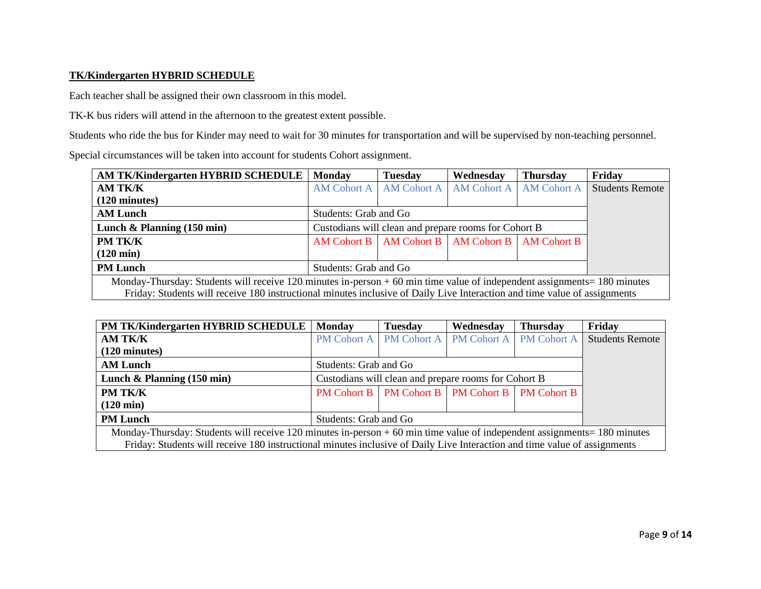#### **TK/Kindergarten HYBRID SCHEDULE**

Each teacher shall be assigned their own classroom in this model.

TK-K bus riders will attend in the afternoon to the greatest extent possible.

Students who ride the bus for Kinder may need to wait for 30 minutes for transportation and will be supervised by non-teaching personnel.

Special circumstances will be taken into account for students Cohort assignment.

| <b>AM TK/Kindergarten HYBRID SCHEDULE</b>                                                                                  | <b>Monday</b>                                         | <b>Tuesday</b>          | Wednesday   | <b>Thursday</b>    | Friday                 |  |
|----------------------------------------------------------------------------------------------------------------------------|-------------------------------------------------------|-------------------------|-------------|--------------------|------------------------|--|
| AM TK/K                                                                                                                    |                                                       | AM Cohort A AM Cohort A | AM Cohort A | <b>AM Cohort A</b> | <b>Students Remote</b> |  |
| $(120 \text{ minutes})$                                                                                                    |                                                       |                         |             |                    |                        |  |
| <b>AM Lunch</b>                                                                                                            | Students: Grab and Go                                 |                         |             |                    |                        |  |
| Lunch & Planning $(150 \text{ min})$                                                                                       | Custodians will clean and prepare rooms for Cohort B  |                         |             |                    |                        |  |
| PM TK/K                                                                                                                    | AM Cohort B   AM Cohort B   AM Cohort B   AM Cohort B |                         |             |                    |                        |  |
| $(120 \text{ min})$                                                                                                        |                                                       |                         |             |                    |                        |  |
| <b>PM Lunch</b>                                                                                                            | Students: Grab and Go                                 |                         |             |                    |                        |  |
| Monday-Thursday: Students will receive 120 minutes in-person $+60$ min time value of independent assignments = 180 minutes |                                                       |                         |             |                    |                        |  |
| Friday: Students will receive 180 instructional minutes inclusive of Daily Live Interaction and time value of assignments  |                                                       |                         |             |                    |                        |  |

| PM TK/Kindergarten HYBRID SCHEDULE                                                                                         | <b>Monday</b>                                                                                                             | <b>Tuesday</b>          | Wednesday          | <b>Thursday</b>    | Friday                 |  |  |
|----------------------------------------------------------------------------------------------------------------------------|---------------------------------------------------------------------------------------------------------------------------|-------------------------|--------------------|--------------------|------------------------|--|--|
| <b>AM TK/K</b>                                                                                                             |                                                                                                                           | PM Cohort A PM Cohort A | <b>PM Cohort A</b> | <b>PM Cohort A</b> | <b>Students Remote</b> |  |  |
| $(120 \text{ minutes})$                                                                                                    |                                                                                                                           |                         |                    |                    |                        |  |  |
| <b>AM Lunch</b>                                                                                                            | Students: Grab and Go                                                                                                     |                         |                    |                    |                        |  |  |
| Lunch & Planning $(150 \text{ min})$                                                                                       | Custodians will clean and prepare rooms for Cohort B                                                                      |                         |                    |                    |                        |  |  |
| <b>PM TK/K</b>                                                                                                             | <b>PM Cohort B</b>   <b>PM Cohort B</b>   <b>PM Cohort B</b>                                                              |                         |                    |                    |                        |  |  |
| $(120 \text{ min})$                                                                                                        |                                                                                                                           |                         |                    |                    |                        |  |  |
| <b>PM Lunch</b>                                                                                                            | Students: Grab and Go                                                                                                     |                         |                    |                    |                        |  |  |
| Monday-Thursday: Students will receive 120 minutes in-person $+60$ min time value of independent assignments = 180 minutes |                                                                                                                           |                         |                    |                    |                        |  |  |
|                                                                                                                            | Friday: Students will receive 180 instructional minutes inclusive of Daily Live Interaction and time value of assignments |                         |                    |                    |                        |  |  |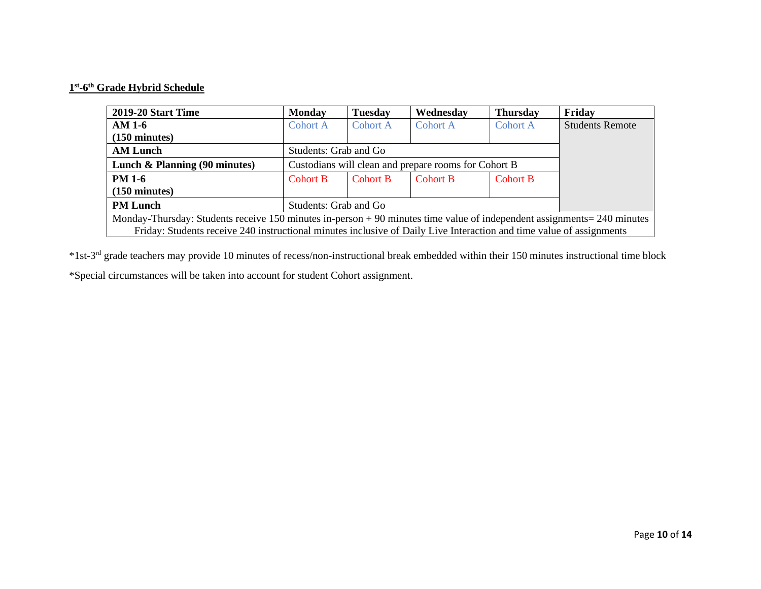#### **1 st -6 th Grade Hybrid Schedule**

| 2019-20 Start Time                                                                                                        | <b>Monday</b>         | <b>Tuesday</b>                                       | Wednesday       | <b>Thursday</b> | Friday                 |  |
|---------------------------------------------------------------------------------------------------------------------------|-----------------------|------------------------------------------------------|-----------------|-----------------|------------------------|--|
| AM 1-6                                                                                                                    | <b>Cohort A</b>       | <b>Cohort A</b>                                      | Cohort A        | Cohort A        | <b>Students Remote</b> |  |
| $(150 \text{ minutes})$                                                                                                   |                       |                                                      |                 |                 |                        |  |
| <b>AM Lunch</b>                                                                                                           | Students: Grab and Go |                                                      |                 |                 |                        |  |
| Lunch & Planning (90 minutes)                                                                                             |                       | Custodians will clean and prepare rooms for Cohort B |                 |                 |                        |  |
| <b>PM 1-6</b>                                                                                                             | <b>Cohort B</b>       | Cohort B                                             | <b>Cohort B</b> | <b>Cohort B</b> |                        |  |
| $(150 \text{ minutes})$                                                                                                   |                       |                                                      |                 |                 |                        |  |
| <b>PM Lunch</b>                                                                                                           | Students: Grab and Go |                                                      |                 |                 |                        |  |
| Monday-Thursday: Students receive 150 minutes in-person $+90$ minutes time value of independent assignments = 240 minutes |                       |                                                      |                 |                 |                        |  |
| Friday: Students receive 240 instructional minutes inclusive of Daily Live Interaction and time value of assignments      |                       |                                                      |                 |                 |                        |  |

\*1st-3 rd grade teachers may provide 10 minutes of recess/non-instructional break embedded within their 150 minutes instructional time block

\*Special circumstances will be taken into account for student Cohort assignment.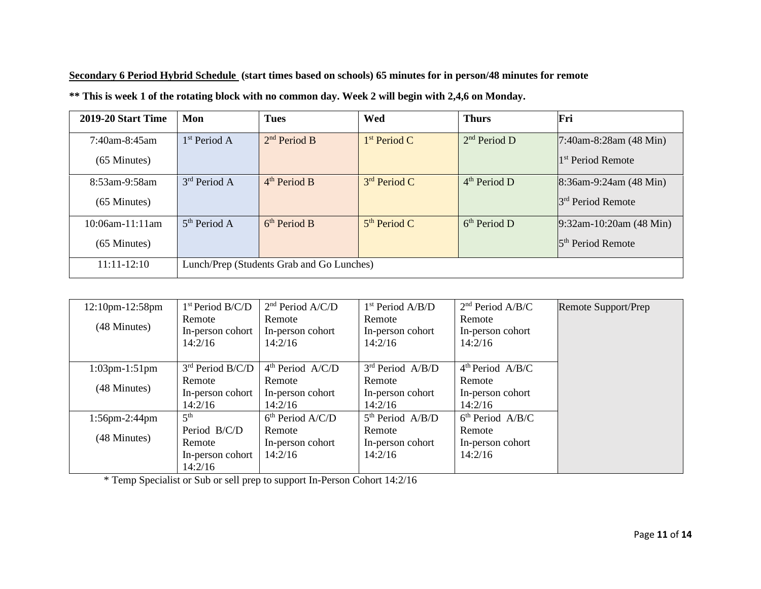**Secondary 6 Period Hybrid Schedule (start times based on schools) 65 minutes for in person/48 minutes for remote** 

**2019-20 Start Time Mon Tues Wed Thurs Fri** 7:40am-8:45am (65 Minutes)  $1<sup>st</sup> Period A$  2  $2<sup>nd</sup> Period B$  $1<sup>st</sup> Period C$  2<sup>nd</sup> Period D  $7:40$ am-8:28am (48 Min) 1 st Period Remote 8:53am-9:58am (65 Minutes)  $3<sup>rd</sup>$  Period A 4  $4<sup>th</sup> Period B$  $3<sup>rd</sup> Period C$  4<sup>th</sup> Period D 8:36am-9:24am (48 Min) 3 rd Period Remote 10:06am-11:11am (65 Minutes)  $5<sup>th</sup>$  Period A 6  $6<sup>th</sup>$  Period B  $5<sup>th</sup> Period C$  6<sup>th</sup> Period D 9:32am-10:20am (48 Min) 5<sup>th</sup> Period Remote 11:11-12:10 Lunch/Prep (Students Grab and Go Lunches)

**\*\* This is week 1 of the rotating block with no common day. Week 2 will begin with 2,4,6 on Monday.** 

| 12:10pm-12:58pm      | 1 <sup>st</sup> Period B/C/D | 2 <sup>nd</sup> Period A/C/D | 1 <sup>st</sup> Period A/B/D | 2 <sup>nd</sup> Period A/B/C | Remote Support/Prep |
|----------------------|------------------------------|------------------------------|------------------------------|------------------------------|---------------------|
|                      | Remote                       | Remote                       | Remote                       | Remote                       |                     |
| (48 Minutes)         | In-person cohort             | In-person cohort             | In-person cohort             | In-person cohort             |                     |
|                      | 14:2/16                      | 14:2/16                      | 14:2/16                      | 14:2/16                      |                     |
|                      |                              |                              |                              |                              |                     |
| $1:03$ pm $-1:51$ pm | 3rd Period B/C/D             | 4 <sup>th</sup> Period A/C/D | 3 <sup>rd</sup> Period A/B/D | 4 <sup>th</sup> Period A/B/C |                     |
|                      | Remote                       | Remote                       | Remote                       | Remote                       |                     |
| (48 Minutes)         | In-person cohort             | In-person cohort             | In-person cohort             | In-person cohort             |                     |
|                      | 14:2/16                      | 14:2/16                      | 14:2/16                      | 14:2/16                      |                     |
| $1:56$ pm $-2:44$ pm | 5 <sup>th</sup>              | 6 <sup>th</sup> Period A/C/D | $5th$ Period A/B/D           | 6 <sup>th</sup> Period A/B/C |                     |
|                      | Period B/C/D                 | Remote                       | Remote                       | Remote                       |                     |
| (48 Minutes)         | Remote                       | In-person cohort             | In-person cohort             | In-person cohort             |                     |
|                      | In-person cohort             | 14:2/16                      | 14:2/16                      | 14:2/16                      |                     |
|                      | 14:2/16                      |                              |                              |                              |                     |

\* Temp Specialist or Sub or sell prep to support In-Person Cohort 14:2/16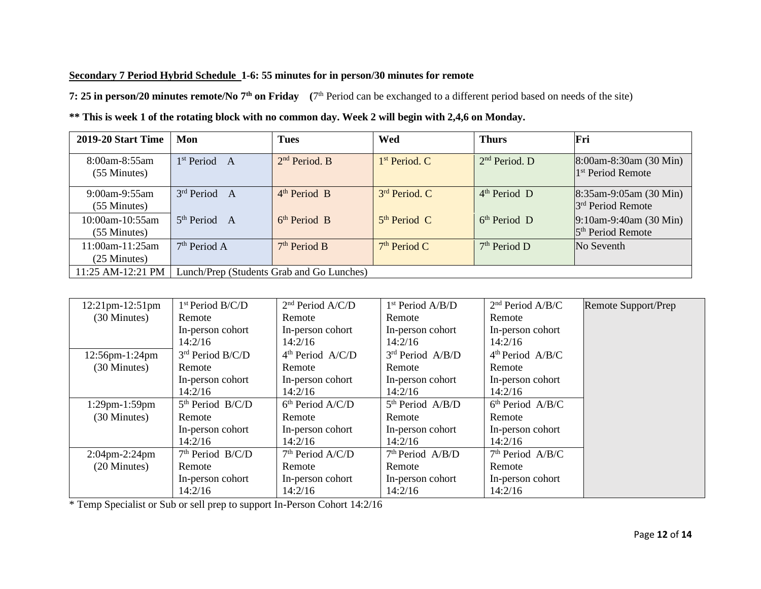#### **Secondary 7 Period Hybrid Schedule 1-6: 55 minutes for in person/30 minutes for remote**

**7: 25 in person/20 minutes remote/No 7th on Friday (**7 th Period can be exchanged to a different period based on needs of the site)

| ** This is week 1 of the rotating block with no common day. Week 2 will begin with 2,4,6 on Monday. |  |  |
|-----------------------------------------------------------------------------------------------------|--|--|
|-----------------------------------------------------------------------------------------------------|--|--|

| 2019-20 Start Time               | Mon                                       | <b>Tues</b>               | Wed                       | <b>Thurs</b>              | Fri                                                        |  |  |
|----------------------------------|-------------------------------------------|---------------------------|---------------------------|---------------------------|------------------------------------------------------------|--|--|
| 8:00am-8:55am<br>$(55$ Minutes)  | 1 <sup>st</sup> Period<br>A               | 2 <sup>nd</sup> Period. B | 1 <sup>st</sup> Period. C | 2 <sup>nd</sup> Period. D | $8:00$ am-8:30am (30 Min)<br><sup>1st</sup> Period Remote  |  |  |
| $9:00$ am-9:55am<br>(55 Minutes) | 3 <sup>rd</sup> Period A                  | 4 <sup>th</sup> Period B  | 3 <sup>rd</sup> Period. C | 4 <sup>th</sup> Period D  | $8:35$ am-9:05am (30 Min)<br>3 <sup>rd</sup> Period Remote |  |  |
| 10:00am-10:55am<br>(55 Minutes)  | 5 <sup>th</sup> Period A                  | 6 <sup>th</sup> Period B  | 5 <sup>th</sup> Period C  | $6th Period$ D            | $9:10$ am-9:40am (30 Min)<br>5 <sup>th</sup> Period Remote |  |  |
| 11:00am-11:25am<br>(25 Minutes)  | 7 <sup>th</sup> Period A                  | 7 <sup>th</sup> Period B  | 7 <sup>th</sup> Period C  | 7 <sup>th</sup> Period D  | No Seventh                                                 |  |  |
| 11:25 AM-12:21 PM                | Lunch/Prep (Students Grab and Go Lunches) |                           |                           |                           |                                                            |  |  |

| 12:21pm-12:51pm      | 1 <sup>st</sup> Period B/C/D | 2 <sup>nd</sup> Period A/C/D | 1 <sup>st</sup> Period A/B/D | 2 <sup>nd</sup> Period A/B/C | Remote Support/Prep |
|----------------------|------------------------------|------------------------------|------------------------------|------------------------------|---------------------|
| (30 Minutes)         | Remote                       | Remote                       | Remote                       | Remote                       |                     |
|                      | In-person cohort             | In-person cohort             | In-person cohort             | In-person cohort             |                     |
|                      | 14:2/16                      | 14:2/16                      | 14:2/16                      | 14:2/16                      |                     |
| 12:56pm-1:24pm       | 3rd Period B/C/D             | 4 <sup>th</sup> Period A/C/D | 3 <sup>rd</sup> Period A/B/D | 4 <sup>th</sup> Period A/B/C |                     |
| (30 Minutes)         | Remote                       | Remote                       | Remote                       | Remote                       |                     |
|                      | In-person cohort             | In-person cohort             | In-person cohort             | In-person cohort             |                     |
|                      | 14:2/16                      | 14:2/16                      | 14:2/16                      | 14:2/16                      |                     |
| $1:29$ pm- $1:59$ pm | $5th$ Period B/C/D           | 6 <sup>th</sup> Period A/C/D | 5 <sup>th</sup> Period A/B/D | 6 <sup>th</sup> Period A/B/C |                     |
| (30 Minutes)         | Remote                       | Remote                       | Remote                       | Remote                       |                     |
|                      | In-person cohort             | In-person cohort             | In-person cohort             | In-person cohort             |                     |
|                      | 14:2/16                      | 14:2/16                      | 14:2/16                      | 14:2/16                      |                     |
| $2:04$ pm-2:24pm     | 7 <sup>th</sup> Period B/C/D | 7 <sup>th</sup> Period A/C/D | 7 <sup>th</sup> Period A/B/D | 7 <sup>th</sup> Period A/B/C |                     |
| (20 Minutes)         | Remote                       | Remote                       | Remote                       | Remote                       |                     |
|                      | In-person cohort             | In-person cohort             | In-person cohort             | In-person cohort             |                     |
|                      | 14:2/16                      | 14:2/16                      | 14:2/16                      | 14:2/16                      |                     |

\* Temp Specialist or Sub or sell prep to support In-Person Cohort 14:2/16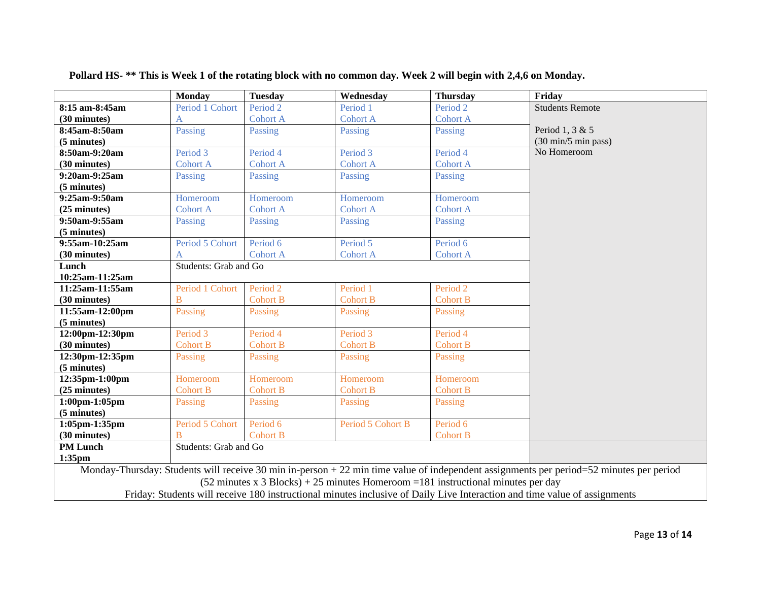|                                                                                                                      | <b>Monday</b>                                                                                                             | <b>Tuesday</b>      | Wednesday         | <b>Thursday</b>     | Friday                                                                                                                                   |  |  |  |
|----------------------------------------------------------------------------------------------------------------------|---------------------------------------------------------------------------------------------------------------------------|---------------------|-------------------|---------------------|------------------------------------------------------------------------------------------------------------------------------------------|--|--|--|
| 8:15 am-8:45am                                                                                                       | Period 1 Cohort                                                                                                           | Period <sub>2</sub> | Period 1          | Period <sub>2</sub> | <b>Students Remote</b>                                                                                                                   |  |  |  |
| (30 minutes)                                                                                                         |                                                                                                                           | <b>Cohort A</b>     | <b>Cohort A</b>   | <b>Cohort A</b>     |                                                                                                                                          |  |  |  |
| 8:45am-8:50am                                                                                                        | Passing                                                                                                                   | Passing             | Passing           | Passing             | Period 1, 3 & 5                                                                                                                          |  |  |  |
| (5 minutes)                                                                                                          |                                                                                                                           |                     |                   |                     | (30 min/5 min pass)                                                                                                                      |  |  |  |
| 8:50am-9:20am                                                                                                        | Period 3                                                                                                                  | Period 4            | Period 3          | Period 4            | No Homeroom                                                                                                                              |  |  |  |
| (30 minutes)                                                                                                         | <b>Cohort A</b>                                                                                                           | <b>Cohort A</b>     | <b>Cohort A</b>   | <b>Cohort A</b>     |                                                                                                                                          |  |  |  |
| 9:20am-9:25am                                                                                                        | Passing                                                                                                                   | Passing             | Passing           | Passing             |                                                                                                                                          |  |  |  |
| (5 minutes)                                                                                                          |                                                                                                                           |                     |                   |                     |                                                                                                                                          |  |  |  |
| 9:25am-9:50am                                                                                                        | Homeroom                                                                                                                  | Homeroom            | Homeroom          | Homeroom            |                                                                                                                                          |  |  |  |
| (25 minutes)                                                                                                         | <b>Cohort A</b>                                                                                                           | <b>Cohort A</b>     | <b>Cohort A</b>   | <b>Cohort A</b>     |                                                                                                                                          |  |  |  |
| 9:50am-9:55am                                                                                                        | Passing                                                                                                                   | Passing             | Passing           | Passing             |                                                                                                                                          |  |  |  |
| (5 minutes)                                                                                                          |                                                                                                                           |                     |                   |                     |                                                                                                                                          |  |  |  |
| 9:55am-10:25am                                                                                                       | Period 5 Cohort                                                                                                           | Period 6            | Period 5          | Period 6            |                                                                                                                                          |  |  |  |
| (30 minutes)                                                                                                         | A                                                                                                                         | <b>Cohort A</b>     | <b>Cohort A</b>   | <b>Cohort A</b>     |                                                                                                                                          |  |  |  |
| Lunch                                                                                                                | Students: Grab and Go                                                                                                     |                     |                   |                     |                                                                                                                                          |  |  |  |
| 10:25am-11:25am                                                                                                      |                                                                                                                           |                     |                   |                     |                                                                                                                                          |  |  |  |
| 11:25am-11:55am                                                                                                      | Period 1 Cohort                                                                                                           | Period <sub>2</sub> | Period 1          | Period <sub>2</sub> |                                                                                                                                          |  |  |  |
| (30 minutes)                                                                                                         | B                                                                                                                         | <b>Cohort B</b>     | <b>Cohort B</b>   | <b>Cohort B</b>     |                                                                                                                                          |  |  |  |
| 11:55am-12:00pm                                                                                                      | Passing                                                                                                                   | Passing             | Passing           | Passing             |                                                                                                                                          |  |  |  |
| (5 minutes)                                                                                                          |                                                                                                                           |                     |                   |                     |                                                                                                                                          |  |  |  |
| 12:00pm-12:30pm                                                                                                      | Period 3                                                                                                                  | Period 4            | Period 3          | Period 4            |                                                                                                                                          |  |  |  |
| (30 minutes)                                                                                                         | <b>Cohort B</b>                                                                                                           | <b>Cohort B</b>     | <b>Cohort B</b>   | <b>Cohort B</b>     |                                                                                                                                          |  |  |  |
| 12:30pm-12:35pm                                                                                                      | Passing                                                                                                                   | Passing             | Passing           | Passing             |                                                                                                                                          |  |  |  |
| (5 minutes)                                                                                                          |                                                                                                                           |                     |                   |                     |                                                                                                                                          |  |  |  |
| 12:35pm-1:00pm                                                                                                       | Homeroom                                                                                                                  | Homeroom            | Homeroom          | Homeroom            |                                                                                                                                          |  |  |  |
| (25 minutes)                                                                                                         | <b>Cohort B</b>                                                                                                           | <b>Cohort B</b>     | <b>Cohort B</b>   | <b>Cohort B</b>     |                                                                                                                                          |  |  |  |
| $1:00$ pm- $1:05$ pm                                                                                                 | Passing                                                                                                                   | Passing             | Passing           | Passing             |                                                                                                                                          |  |  |  |
| (5 minutes)                                                                                                          |                                                                                                                           |                     |                   |                     |                                                                                                                                          |  |  |  |
| $1:05$ pm $-1:35$ pm                                                                                                 | Period 5 Cohort                                                                                                           | Period 6            | Period 5 Cohort B | Period 6            |                                                                                                                                          |  |  |  |
| (30 minutes)                                                                                                         | $\overline{B}$                                                                                                            | <b>Cohort B</b>     |                   | <b>Cohort B</b>     |                                                                                                                                          |  |  |  |
| <b>PM</b> Lunch                                                                                                      | Students: Grab and Go                                                                                                     |                     |                   |                     |                                                                                                                                          |  |  |  |
| $1:35$ pm                                                                                                            |                                                                                                                           |                     |                   |                     |                                                                                                                                          |  |  |  |
|                                                                                                                      |                                                                                                                           |                     |                   |                     | Monday-Thursday: Students will receive 30 min in-person $+22$ min time value of independent assignments per period=52 minutes per period |  |  |  |
| $(52 \text{ minutes x } 3 \text{ Blocks}) + 25 \text{ minutes Homeroom} = 181 \text{ instructional minutes per day}$ |                                                                                                                           |                     |                   |                     |                                                                                                                                          |  |  |  |
|                                                                                                                      | Friday: Students will receive 180 instructional minutes inclusive of Daily Live Interaction and time value of assignments |                     |                   |                     |                                                                                                                                          |  |  |  |

**Pollard HS- \*\* This is Week 1 of the rotating block with no common day. Week 2 will begin with 2,4,6 on Monday.**